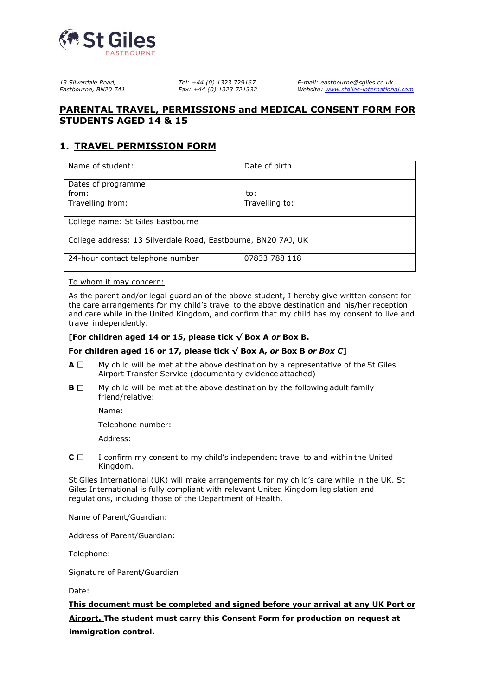

## **PARENTAL TRAVEL, PERMISSIONS and MEDICAL CONSENT FORM FOR STUDENTS AGED 14 & 15**

# **1. TRAVEL PERMISSION FORM**

| Name of student:                                              | Date of birth  |  |  |  |  |
|---------------------------------------------------------------|----------------|--|--|--|--|
|                                                               |                |  |  |  |  |
| Dates of programme                                            |                |  |  |  |  |
| from:                                                         | to:            |  |  |  |  |
| Travelling from:                                              | Travelling to: |  |  |  |  |
|                                                               |                |  |  |  |  |
| College name: St Giles Eastbourne                             |                |  |  |  |  |
|                                                               |                |  |  |  |  |
| College address: 13 Silverdale Road, Eastbourne, BN20 7AJ, UK |                |  |  |  |  |
|                                                               |                |  |  |  |  |
| 24-hour contact telephone number                              | 07833 788 118  |  |  |  |  |
|                                                               |                |  |  |  |  |

To whom it may concern:

As the parent and/or legal guardian of the above student, I hereby give written consent for the care arrangements for my child's travel to the above destination and his/her reception and care while in the United Kingdom, and confirm that my child has my consent to live and travel independently.

#### **[For children aged 14 or 15, please tick √ Box A** *or* **Box B.**

#### For children aged 16 or 17, please tick  $\sqrt{8}$  Box A, or Box B or Box C]

- $A \Box$  My child will be met at the above destination by a representative of the St Giles Airport Transfer Service (documentary evidence attached)
- $\mathbf{B} \Box$  My child will be met at the above destination by the following adult family friend/relative:

Name:

Telephone number:

Address:

 $C \Box$  I confirm my consent to my child's independent travel to and within the United Kingdom.

St Giles International (UK) will make arrangements for my child's care while in the UK. St Giles International is fully compliant with relevant United Kingdom legislation and regulations, including those of the Department of Health.

Name of Parent/Guardian:

Address of Parent/Guardian:

Telephone:

Signature of Parent/Guardian

Date:

**This document must be completed and signed before your arrival at any UK Port or Airport. The student must carry this Consent Form for production on request at immigration control.**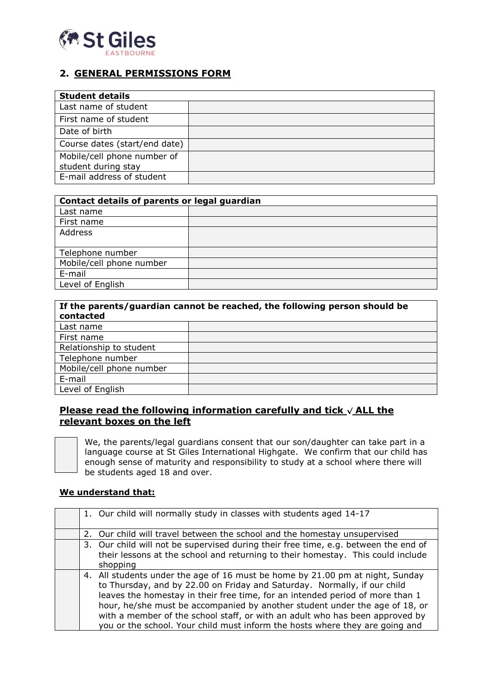

# **2. GENERAL PERMISSIONS FORM**

| <b>Student details</b>        |  |
|-------------------------------|--|
| Last name of student          |  |
| First name of student         |  |
| Date of birth                 |  |
| Course dates (start/end date) |  |
| Mobile/cell phone number of   |  |
| student during stay           |  |
| E-mail address of student     |  |

| Contact details of parents or legal guardian |  |  |  |  |
|----------------------------------------------|--|--|--|--|
| Last name                                    |  |  |  |  |
| First name                                   |  |  |  |  |
| Address                                      |  |  |  |  |
|                                              |  |  |  |  |
| Telephone number                             |  |  |  |  |
| Mobile/cell phone number                     |  |  |  |  |
| E-mail                                       |  |  |  |  |
| Level of English                             |  |  |  |  |

| If the parents/guardian cannot be reached, the following person should be<br>contacted |  |  |  |  |
|----------------------------------------------------------------------------------------|--|--|--|--|
| Last name                                                                              |  |  |  |  |
| First name                                                                             |  |  |  |  |
| Relationship to student                                                                |  |  |  |  |
| Telephone number                                                                       |  |  |  |  |
| Mobile/cell phone number                                                               |  |  |  |  |
| E-mail                                                                                 |  |  |  |  |
| Level of English                                                                       |  |  |  |  |

## **Please read the following information carefully and tick √ ALL the relevant boxes on the left**

We, the parents/legal guardians consent that our son/daughter can take part in a language course at St Giles International Highgate. We confirm that our child has enough sense of maturity and responsibility to study at a school where there will be students aged 18 and over.

#### **We understand that:**

| 1. Our child will normally study in classes with students aged 14-17                                                                                         |  |
|--------------------------------------------------------------------------------------------------------------------------------------------------------------|--|
|                                                                                                                                                              |  |
|                                                                                                                                                              |  |
| 2. Our child will travel between the school and the homestay unsupervised                                                                                    |  |
| 3. Our child will not be supervised during their free time, e.g. between the end of                                                                          |  |
| their lessons at the school and returning to their homestay. This could include                                                                              |  |
| shopping                                                                                                                                                     |  |
| 4. All students under the age of 16 must be home by 21.00 pm at night, Sunday<br>to Thursday, and by 22.00 on Friday and Saturday. Normally, if our child    |  |
| leaves the homestay in their free time, for an intended period of more than 1<br>hour, he/she must be accompanied by another student under the age of 18, or |  |
| with a member of the school staff, or with an adult who has been approved by<br>you or the school. Your child must inform the hosts where they are going and |  |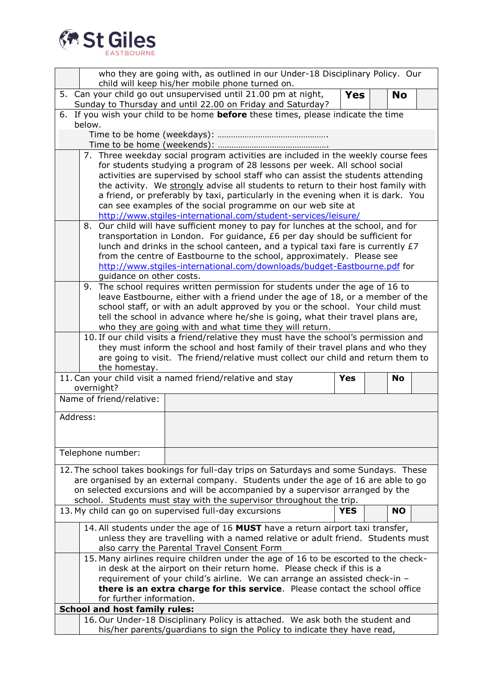

| who they are going with, as outlined in our Under-18 Disciplinary Policy. Our<br>child will keep his/her mobile phone turned on. |                                                                                                                                                                                                                                                   |                                                                                                                                                                  |            |  |           |  |
|----------------------------------------------------------------------------------------------------------------------------------|---------------------------------------------------------------------------------------------------------------------------------------------------------------------------------------------------------------------------------------------------|------------------------------------------------------------------------------------------------------------------------------------------------------------------|------------|--|-----------|--|
|                                                                                                                                  | 5. Can your child go out unsupervised until 21.00 pm at night,<br><b>Yes</b><br><b>No</b><br>Sunday to Thursday and until 22.00 on Friday and Saturday?                                                                                           |                                                                                                                                                                  |            |  |           |  |
|                                                                                                                                  | 6. If you wish your child to be home <b>before</b> these times, please indicate the time                                                                                                                                                          |                                                                                                                                                                  |            |  |           |  |
|                                                                                                                                  | below.                                                                                                                                                                                                                                            |                                                                                                                                                                  |            |  |           |  |
|                                                                                                                                  |                                                                                                                                                                                                                                                   |                                                                                                                                                                  |            |  |           |  |
|                                                                                                                                  |                                                                                                                                                                                                                                                   |                                                                                                                                                                  |            |  |           |  |
|                                                                                                                                  | 7. Three weekday social program activities are included in the weekly course fees<br>for students studying a program of 28 lessons per week. All school social<br>activities are supervised by school staff who can assist the students attending |                                                                                                                                                                  |            |  |           |  |
|                                                                                                                                  | the activity. We strongly advise all students to return to their host family with                                                                                                                                                                 |                                                                                                                                                                  |            |  |           |  |
|                                                                                                                                  | a friend, or preferably by taxi, particularly in the evening when it is dark. You<br>can see examples of the social programme on our web site at                                                                                                  |                                                                                                                                                                  |            |  |           |  |
|                                                                                                                                  |                                                                                                                                                                                                                                                   | http://www.stgiles-international.com/student-services/leisure/                                                                                                   |            |  |           |  |
|                                                                                                                                  |                                                                                                                                                                                                                                                   | 8. Our child will have sufficient money to pay for lunches at the school, and for                                                                                |            |  |           |  |
|                                                                                                                                  |                                                                                                                                                                                                                                                   | transportation in London. For guidance, £6 per day should be sufficient for<br>lunch and drinks in the school canteen, and a typical taxi fare is currently $E7$ |            |  |           |  |
|                                                                                                                                  |                                                                                                                                                                                                                                                   | from the centre of Eastbourne to the school, approximately. Please see                                                                                           |            |  |           |  |
|                                                                                                                                  |                                                                                                                                                                                                                                                   | http://www.stgiles-international.com/downloads/budget-Eastbourne.pdf for                                                                                         |            |  |           |  |
|                                                                                                                                  | guidance on other costs.                                                                                                                                                                                                                          | 9. The school requires written permission for students under the age of 16 to                                                                                    |            |  |           |  |
|                                                                                                                                  |                                                                                                                                                                                                                                                   | leave Eastbourne, either with a friend under the age of 18, or a member of the                                                                                   |            |  |           |  |
|                                                                                                                                  |                                                                                                                                                                                                                                                   | school staff, or with an adult approved by you or the school. Your child must                                                                                    |            |  |           |  |
|                                                                                                                                  |                                                                                                                                                                                                                                                   | tell the school in advance where he/she is going, what their travel plans are,                                                                                   |            |  |           |  |
|                                                                                                                                  |                                                                                                                                                                                                                                                   | who they are going with and what time they will return.<br>10. If our child visits a friend/relative they must have the school's permission and                  |            |  |           |  |
|                                                                                                                                  |                                                                                                                                                                                                                                                   | they must inform the school and host family of their travel plans and who they                                                                                   |            |  |           |  |
|                                                                                                                                  |                                                                                                                                                                                                                                                   | are going to visit. The friend/relative must collect our child and return them to                                                                                |            |  |           |  |
|                                                                                                                                  | the homestay.                                                                                                                                                                                                                                     | 11. Can your child visit a named friend/relative and stay                                                                                                        | <b>Yes</b> |  | <b>No</b> |  |
|                                                                                                                                  | overnight?                                                                                                                                                                                                                                        |                                                                                                                                                                  |            |  |           |  |
|                                                                                                                                  | Name of friend/relative:                                                                                                                                                                                                                          |                                                                                                                                                                  |            |  |           |  |
| Address:                                                                                                                         |                                                                                                                                                                                                                                                   |                                                                                                                                                                  |            |  |           |  |
|                                                                                                                                  |                                                                                                                                                                                                                                                   |                                                                                                                                                                  |            |  |           |  |
|                                                                                                                                  |                                                                                                                                                                                                                                                   |                                                                                                                                                                  |            |  |           |  |
|                                                                                                                                  |                                                                                                                                                                                                                                                   |                                                                                                                                                                  |            |  |           |  |
|                                                                                                                                  | Telephone number:                                                                                                                                                                                                                                 |                                                                                                                                                                  |            |  |           |  |
|                                                                                                                                  |                                                                                                                                                                                                                                                   | 12. The school takes bookings for full-day trips on Saturdays and some Sundays. These                                                                            |            |  |           |  |
|                                                                                                                                  |                                                                                                                                                                                                                                                   | are organised by an external company. Students under the age of 16 are able to go                                                                                |            |  |           |  |
|                                                                                                                                  |                                                                                                                                                                                                                                                   | on selected excursions and will be accompanied by a supervisor arranged by the                                                                                   |            |  |           |  |
|                                                                                                                                  |                                                                                                                                                                                                                                                   | school. Students must stay with the supervisor throughout the trip.                                                                                              |            |  |           |  |
|                                                                                                                                  |                                                                                                                                                                                                                                                   | 13. My child can go on supervised full-day excursions                                                                                                            | <b>YES</b> |  | <b>NO</b> |  |
|                                                                                                                                  |                                                                                                                                                                                                                                                   | 14. All students under the age of 16 MUST have a return airport taxi transfer,                                                                                   |            |  |           |  |
|                                                                                                                                  |                                                                                                                                                                                                                                                   | unless they are travelling with a named relative or adult friend. Students must<br>also carry the Parental Travel Consent Form                                   |            |  |           |  |
|                                                                                                                                  |                                                                                                                                                                                                                                                   | 15. Many airlines require children under the age of 16 to be escorted to the check-                                                                              |            |  |           |  |
|                                                                                                                                  |                                                                                                                                                                                                                                                   | in desk at the airport on their return home. Please check if this is a                                                                                           |            |  |           |  |
|                                                                                                                                  |                                                                                                                                                                                                                                                   | requirement of your child's airline. We can arrange an assisted check-in -                                                                                       |            |  |           |  |
|                                                                                                                                  | for further information.                                                                                                                                                                                                                          | there is an extra charge for this service. Please contact the school office                                                                                      |            |  |           |  |
|                                                                                                                                  | <b>School and host family rules:</b>                                                                                                                                                                                                              |                                                                                                                                                                  |            |  |           |  |
|                                                                                                                                  |                                                                                                                                                                                                                                                   | 16. Our Under-18 Disciplinary Policy is attached. We ask both the student and<br>his/her parents/guardians to sign the Policy to indicate they have read,        |            |  |           |  |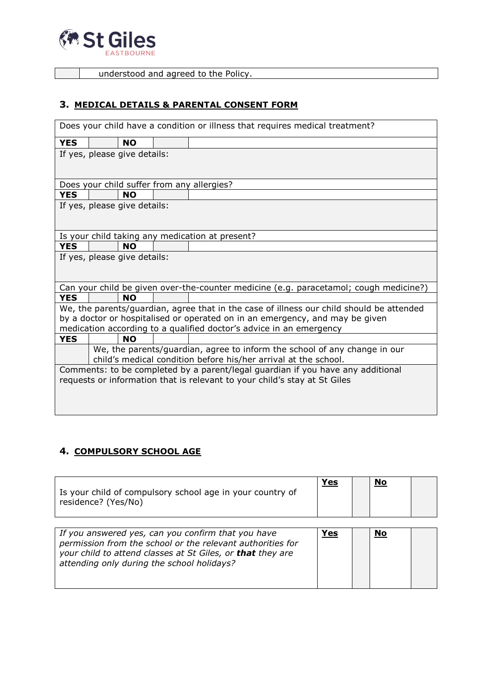

**understood and agreed to the Policy.** 

### **3. MEDICAL DETAILS & PARENTAL CONSENT FORM**

| Does your child have a condition or illness that requires medical treatment? |                                            |  |  |                                                                                          |
|------------------------------------------------------------------------------|--------------------------------------------|--|--|------------------------------------------------------------------------------------------|
| <b>YES</b>                                                                   | <b>NO</b>                                  |  |  |                                                                                          |
| If yes, please give details:                                                 |                                            |  |  |                                                                                          |
|                                                                              |                                            |  |  |                                                                                          |
|                                                                              |                                            |  |  |                                                                                          |
|                                                                              | Does your child suffer from any allergies? |  |  |                                                                                          |
| <b>YES</b>                                                                   | <b>NO</b>                                  |  |  |                                                                                          |
|                                                                              | If yes, please give details:               |  |  |                                                                                          |
|                                                                              |                                            |  |  |                                                                                          |
|                                                                              |                                            |  |  |                                                                                          |
|                                                                              |                                            |  |  | Is your child taking any medication at present?                                          |
| <b>YES</b>                                                                   | <b>NO</b>                                  |  |  |                                                                                          |
|                                                                              | If yes, please give details:               |  |  |                                                                                          |
|                                                                              |                                            |  |  |                                                                                          |
|                                                                              |                                            |  |  |                                                                                          |
|                                                                              |                                            |  |  | Can your child be given over-the-counter medicine (e.g. paracetamol; cough medicine?)    |
| <b>YES</b>                                                                   | <b>NO</b>                                  |  |  |                                                                                          |
|                                                                              |                                            |  |  | We, the parents/guardian, agree that in the case of illness our child should be attended |
| by a doctor or hospitalised or operated on in an emergency, and may be given |                                            |  |  |                                                                                          |
|                                                                              |                                            |  |  | medication according to a qualified doctor's advice in an emergency                      |
| <b>YES</b>                                                                   | <b>NO</b>                                  |  |  |                                                                                          |
|                                                                              |                                            |  |  | We, the parents/guardian, agree to inform the school of any change in our                |
| child's medical condition before his/her arrival at the school.              |                                            |  |  |                                                                                          |
|                                                                              |                                            |  |  | Comments: to be completed by a parent/legal guardian if you have any additional          |
| requests or information that is relevant to your child's stay at St Giles    |                                            |  |  |                                                                                          |
|                                                                              |                                            |  |  |                                                                                          |
|                                                                              |                                            |  |  |                                                                                          |
|                                                                              |                                            |  |  |                                                                                          |

## **4. COMPULSORY SCHOOL AGE**

| Is your child of compulsory school age in your country of<br>residence? (Yes/No)                                                                                                                                             | Yes | No |  |
|------------------------------------------------------------------------------------------------------------------------------------------------------------------------------------------------------------------------------|-----|----|--|
| If you answered yes, can you confirm that you have<br>permission from the school or the relevant authorities for<br>your child to attend classes at St Giles, or that they are<br>attending only during the school holidays? | Yes | No |  |